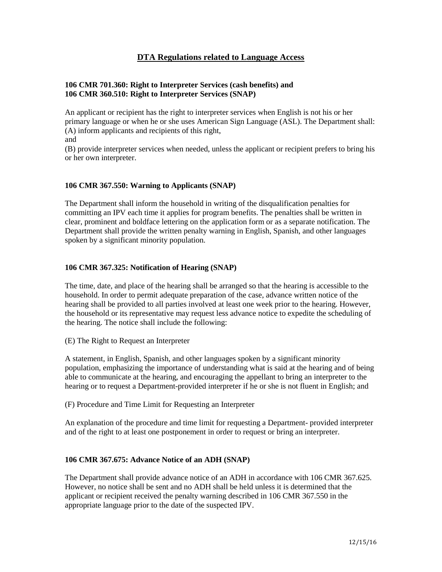# **DTA Regulations related to Language Access**

#### **106 CMR 701.360: Right to Interpreter Services (cash benefits) and 106 CMR 360.510: Right to Interpreter Services (SNAP)**

An applicant or recipient has the right to interpreter services when English is not his or her primary language or when he or she uses American Sign Language (ASL). The Department shall: (A) inform applicants and recipients of this right,

and

(B) provide interpreter services when needed, unless the applicant or recipient prefers to bring his or her own interpreter.

#### **106 CMR 367.550: Warning to Applicants (SNAP)**

The Department shall inform the household in writing of the disqualification penalties for committing an IPV each time it applies for program benefits. The penalties shall be written in clear, prominent and boldface lettering on the application form or as a separate notification. The Department shall provide the written penalty warning in English, Spanish, and other languages spoken by a significant minority population.

#### **106 CMR 367.325: Notification of Hearing (SNAP)**

The time, date, and place of the hearing shall be arranged so that the hearing is accessible to the household. In order to permit adequate preparation of the case, advance written notice of the hearing shall be provided to all parties involved at least one week prior to the hearing. However, the household or its representative may request less advance notice to expedite the scheduling of the hearing. The notice shall include the following:

(E) The Right to Request an Interpreter

A statement, in English, Spanish, and other languages spoken by a significant minority population, emphasizing the importance of understanding what is said at the hearing and of being able to communicate at the hearing, and encouraging the appellant to bring an interpreter to the hearing or to request a Department-provided interpreter if he or she is not fluent in English; and

(F) Procedure and Time Limit for Requesting an Interpreter

An explanation of the procedure and time limit for requesting a Department- provided interpreter and of the right to at least one postponement in order to request or bring an interpreter.

## **106 CMR 367.675: Advance Notice of an ADH (SNAP)**

The Department shall provide advance notice of an ADH in accordance with 106 CMR 367.625. However, no notice shall be sent and no ADH shall be held unless it is determined that the applicant or recipient received the penalty warning described in 106 CMR 367.550 in the appropriate language prior to the date of the suspected IPV.